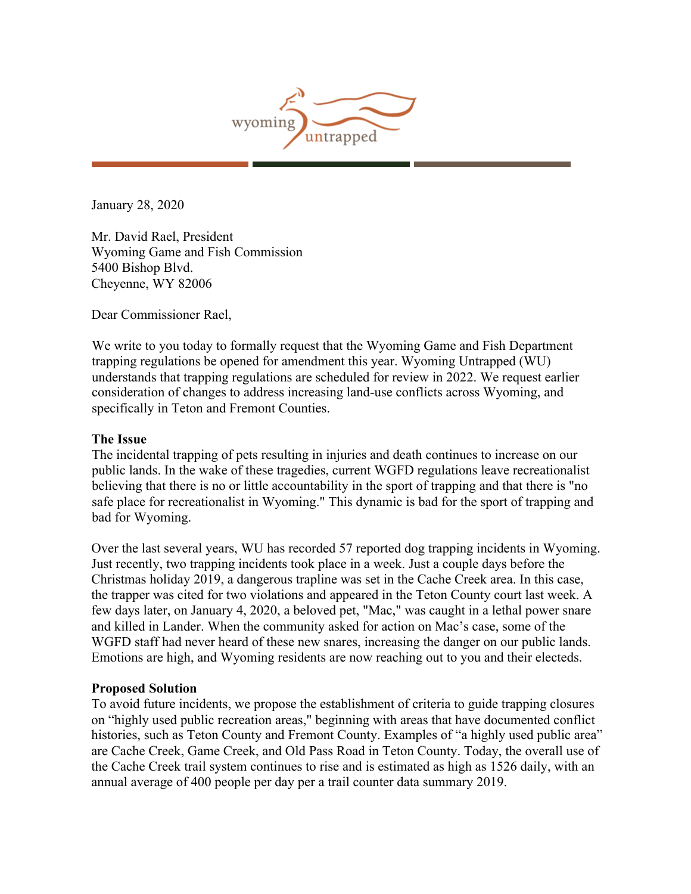

January 28, 2020

Mr. David Rael, President Wyoming Game and Fish Commission 5400 Bishop Blvd. Cheyenne, WY 82006

Dear Commissioner Rael,

We write to you today to formally request that the Wyoming Game and Fish Department trapping regulations be opened for amendment this year. Wyoming Untrapped (WU) understands that trapping regulations are scheduled for review in 2022. We request earlier consideration of changes to address increasing land-use conflicts across Wyoming, and specifically in Teton and Fremont Counties.

## **The Issue**

The incidental trapping of pets resulting in injuries and death continues to increase on our public lands. In the wake of these tragedies, current WGFD regulations leave recreationalist believing that there is no or little accountability in the sport of trapping and that there is "no safe place for recreationalist in Wyoming." This dynamic is bad for the sport of trapping and bad for Wyoming.

Over the last several years, WU has recorded 57 reported dog trapping incidents in Wyoming. Just recently, two trapping incidents took place in a week. Just a couple days before the Christmas holiday 2019, a dangerous trapline was set in the Cache Creek area. In this case, the trapper was cited for two violations and appeared in the Teton County court last week. A few days later, on January 4, 2020, a beloved pet, "Mac," was caught in a lethal power snare and killed in Lander. When the community asked for action on Mac's case, some of the WGFD staff had never heard of these new snares, increasing the danger on our public lands. Emotions are high, and Wyoming residents are now reaching out to you and their electeds.

## **Proposed Solution**

To avoid future incidents, we propose the establishment of criteria to guide trapping closures on "highly used public recreation areas," beginning with areas that have documented conflict histories, such as Teton County and Fremont County. Examples of "a highly used public area" are Cache Creek, Game Creek, and Old Pass Road in Teton County. Today, the overall use of the Cache Creek trail system continues to rise and is estimated as high as 1526 daily, with an annual average of 400 people per day per a trail counter data summary 2019.